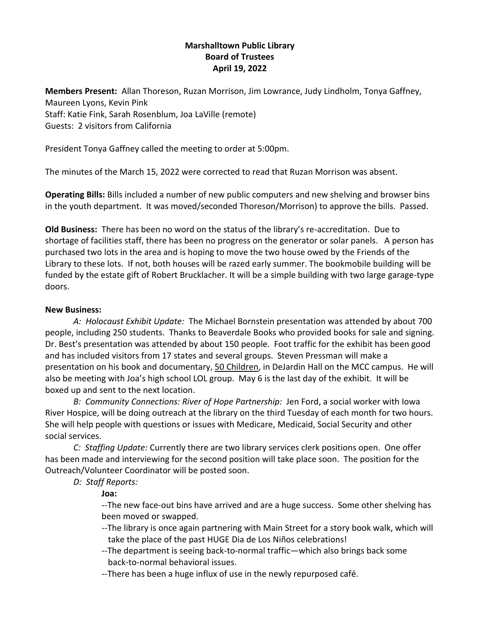# **Marshalltown Public Library Board of Trustees April 19, 2022**

**Members Present:** Allan Thoreson, Ruzan Morrison, Jim Lowrance, Judy Lindholm, Tonya Gaffney, Maureen Lyons, Kevin Pink Staff: Katie Fink, Sarah Rosenblum, Joa LaVille (remote) Guests: 2 visitors from California

President Tonya Gaffney called the meeting to order at 5:00pm.

The minutes of the March 15, 2022 were corrected to read that Ruzan Morrison was absent.

**Operating Bills:** Bills included a number of new public computers and new shelving and browser bins in the youth department. It was moved/seconded Thoreson/Morrison) to approve the bills. Passed.

**Old Business:** There has been no word on the status of the library's re-accreditation. Due to shortage of facilities staff, there has been no progress on the generator or solar panels. A person has purchased two lots in the area and is hoping to move the two house owed by the Friends of the Library to these lots. If not, both houses will be razed early summer. The bookmobile building will be funded by the estate gift of Robert Brucklacher. It will be a simple building with two large garage-type doors.

#### **New Business:**

*A: Holocaust Exhibit Update:* The Michael Bornstein presentation was attended by about 700 people, including 250 students. Thanks to Beaverdale Books who provided books for sale and signing. Dr. Best's presentation was attended by about 150 people. Foot traffic for the exhibit has been good and has included visitors from 17 states and several groups. Steven Pressman will make a presentation on his book and documentary, 50 Children, in DeJardin Hall on the MCC campus. He will also be meeting with Joa's high school LOL group. May 6 is the last day of the exhibit. It will be boxed up and sent to the next location.

*B: Community Connections: River of Hope Partnership:* Jen Ford, a social worker with Iowa River Hospice, will be doing outreach at the library on the third Tuesday of each month for two hours. She will help people with questions or issues with Medicare, Medicaid, Social Security and other social services.

*C: Staffing Update:* Currently there are two library services clerk positions open. One offer has been made and interviewing for the second position will take place soon. The position for the Outreach/Volunteer Coordinator will be posted soon.

## *D: Staff Reports:*

**Joa:**

--The new face-out bins have arrived and are a huge success. Some other shelving has been moved or swapped.

- --The library is once again partnering with Main Street for a story book walk, which will take the place of the past HUGE Dia de Los Niños celebrations!
- --The department is seeing back-to-normal traffic—which also brings back some back-to-normal behavioral issues.
- --There has been a huge influx of use in the newly repurposed café.